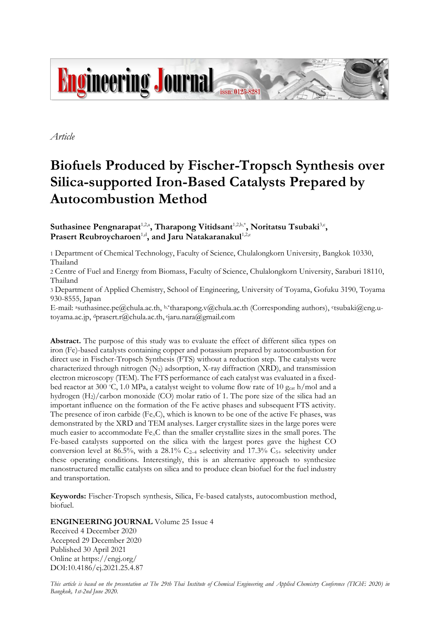

*Article*

# **Biofuels Produced by Fischer-Tropsch Synthesis over Silica-supported Iron-Based Catalysts Prepared by Autocombustion Method**

Suthasinee Pengnarapat<sup>1,2,a</sup>, Tharapong Vitidsant<sup>1,2,b,\*</sup>, Noritatsu Tsubaki<sup>3,c</sup>, Prasert Reubroycharoen<sup>1,d</sup>, and Jaru Natakaranakul<sup>1,2,e</sup>

1 Department of Chemical Technology, Faculty of Science, Chulalongkorn University, Bangkok 10330, Thailand

2 Centre of Fuel and Energy from Biomass, Faculty of Science, Chulalongkorn University, Saraburi 18110, Thailand

3 Department of Applied Chemistry, School of Engineering, University of Toyama, Gofuku 3190, Toyama 930-8555, Japan

E-mail: asuthasinee.pe@chula.ac.th, b,\*tharapong.v@chula.ac.th (Corresponding authors), <sup>c</sup> tsubaki@eng.utoyama.ac.jp, <sup>d</sup>prasert.r@chula.ac.th, e jaru.nara@gmail.com

**Abstract.** The purpose of this study was to evaluate the effect of different silica types on iron (Fe)-based catalysts containing copper and potassium prepared by autocombustion for direct use in Fischer-Tropsch Synthesis (FTS) without a reduction step. The catalysts were characterized through nitrogen  $(N_2)$  adsorption, X-ray diffraction (XRD), and transmission electron microscopy (TEM). The FTS performance of each catalyst was evaluated in a fixedbed reactor at 300 °C, 1.0 MPa, a catalyst weight to volume flow rate of 10  $g_{cat}$  h/mol and a hydrogen (H2)/carbon monoxide (CO) molar ratio of 1. The pore size of the silica had an important influence on the formation of the Fe active phases and subsequent FTS activity. The presence of iron carbide (Fe*x*C), which is known to be one of the active Fe phases, was demonstrated by the XRD and TEM analyses. Larger crystallite sizes in the large pores were much easier to accommodate Fe*x*C than the smaller crystallite sizes in the small pores. The Fe-based catalysts supported on the silica with the largest pores gave the highest CO conversion level at 86.5%, with a 28.1% C<sub>2-4</sub> selectivity and 17.3% C<sub>5+</sub> selectivity under these operating conditions. Interestingly, this is an alternative approach to synthesize nanostructured metallic catalysts on silica and to produce clean biofuel for the fuel industry and transportation.

**Keywords:** Fischer-Tropsch synthesis, Silica, Fe-based catalysts, autocombustion method, biofuel.

**ENGINEERING JOURNAL** Volume 25 Issue 4

Received 4 December 2020 Accepted 29 December 2020 Published 30 April 2021 Online at https://engj.org/ DOI:10.4186/ej.2021.25.4.87

*This article is based on the presentation at The 29th Thai Institute of Chemical Engineering and Applied Chemistry Conference (TIChE 2020) in Bangkok, 1st-2nd June 2020.*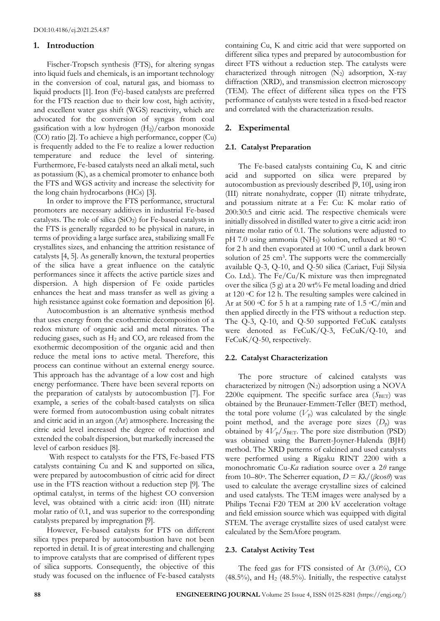## **1. Introduction**

Fischer-Tropsch synthesis (FTS), for altering syngas into liquid fuels and chemicals, is an important technology in the conversion of coal, natural gas, and biomass to liquid products [1]. Iron (Fe)-based catalysts are preferred for the FTS reaction due to their low cost, high activity, and excellent water gas shift (WGS) reactivity, which are advocated for the conversion of syngas from coal gasification with a low hydrogen  $(H<sub>2</sub>)/carbon$  monoxide (CO) ratio [2]. To achieve a high performance, copper (Cu) is frequently added to the Fe to realize a lower reduction temperature and reduce the level of sintering. Furthermore, Fe-based catalysts need an alkali metal, such as potassium (K), as a chemical promoter to enhance both the FTS and WGS activity and increase the selectivity for the long chain hydrocarbons (HCs) [3].

In order to improve the FTS performance, structural promoters are necessary additives in industrial Fe-based catalysts. The role of silica  $(SiO<sub>2</sub>)$  for Fe-based catalysts in the FTS is generally regarded to be physical in nature, in terms of providing a large surface area, stabilizing small Fe crystallites sizes, and enhancing the attrition resistance of catalysts [4, 5]. As generally known, the textural properties of the silica have a great influence on the catalytic performances since it affects the active particle sizes and dispersion. A high dispersion of Fe oxide particles enhances the heat and mass transfer as well as giving a high resistance against coke formation and deposition [6].

Autocombustion is an alternative synthesis method that uses energy from the exothermic decomposition of a redox mixture of organic acid and metal nitrates. The reducing gases, such as  $H_2$  and CO, are released from the exothermic decomposition of the organic acid and then reduce the metal ions to active metal. Therefore, this process can continue without an external energy source. This approach has the advantage of a low cost and high energy performance. There have been several reports on the preparation of catalysts by autocombustion [7]. For example, a series of the cobalt-based catalysts on silica were formed from autocombustion using cobalt nitrates and citric acid in an argon (Ar) atmosphere. Increasing the citric acid level increased the degree of reduction and extended the cobalt dispersion, but markedly increased the level of carbon residues [8].

With respect to catalysts for the FTS, Fe-based FTS catalysts containing Cu and K and supported on silica, were prepared by autocombustion of citric acid for direct use in the FTS reaction without a reduction step [9]. The optimal catalyst, in terms of the highest CO conversion level, was obtained with a citric acid: iron (III) nitrate molar ratio of 0.1, and was superior to the corresponding catalysts prepared by impregnation [9].

However, Fe-based catalysts for FTS on different silica types prepared by autocombustion have not been reported in detail. It is of great interesting and challenging to improve catalysts that are comprised of different types of silica supports. Consequently, the objective of this study was focused on the influence of Fe-based catalysts containing Cu, K and citric acid that were supported on different silica types and prepared by autocombustion for direct FTS without a reduction step. The catalysts were characterized through nitrogen  $(N_2)$  adsorption, X-ray diffraction (XRD), and transmission electron microscopy (TEM). The effect of different silica types on the FTS performance of catalysts were tested in a fixed-bed reactor and correlated with the characterization results.

# **2. Experimental**

## **2.1. Catalyst Preparation**

The Fe-based catalysts containing Cu, K and citric acid and supported on silica were prepared by autocombustion as previously described [9, 10], using iron (III) nitrate nonahydrate, copper (II) nitrate trihydrate, and potassium nitrate at a Fe: Cu: K molar ratio of 200:30:5 and citric acid. The respective chemicals were initially dissolved in distilled water to give a citric acid: iron nitrate molar ratio of 0.1. The solutions were adjusted to pH 7.0 using ammonia (NH<sub>3</sub>) solution, refluxed at 80  $\mathrm{^{\circ}C}$ for 2 h and then evaporated at 100 °C until a dark brown solution of 25 cm<sup>3</sup>. The supports were the commercially available Q-3, Q-10, and Q-50 silica (Cariact, Fuji Silysia Co. Ltd.). The Fe/Cu/K mixture was then impregnated over the silica  $(5 g)$  at a 20 wt% Fe metal loading and dried at 120 oC for 12 h. The resulting samples were calcined in Ar at 500  $\circ$ C for 5 h at a ramping rate of 1.5  $\circ$ C/min and then applied directly in the FTS without a reduction step. The Q-3, Q-10, and Q-50 supported FeCuK catalysts were denoted as FeCuK/Q-3, FeCuK/Q-10, and FeCuK/Q-50, respectively.

## **2.2. Catalyst Characterization**

The pore structure of calcined catalysts was characterized by nitrogen  $(N_2)$  adsorption using a NOVA 2200e equipment. The specific surface area  $(S<sub>BET</sub>)$  was obtained by the Brunauer-Emmett-Teller (BET) method, the total pore volume  $(V_p)$  was calculated by the single point method, and the average pore sizes  $(D_p)$  was obtained by  $4V_p/S_{BET}$ . The pore size distribution (PSD) was obtained using the Barrett-Joyner-Halenda (BJH) method. The XRD patterns of calcined and used catalysts were performed using a Rigaku RINT 2200 with a monochromatic Cu-*Kα* radiation source over a 2*θ* range from 10–80°. The Scherrer equation,  $D = K\lambda/(\beta \cos \theta)$  was used to calculate the average crystalline sizes of calcined and used catalysts. The TEM images were analysed by a Philips Tecnai F20 TEM at 200 kV acceleration voltage and field emission source which was equipped with digital STEM. The average crystallite sizes of used catalyst were calculated by the SemAfore program.

### **2.3. Catalyst Activity Test**

The feed gas for FTS consisted of Ar (3.0%), CO  $(48.5\%)$ , and  $H<sub>2</sub>$   $(48.5\%)$ . Initially, the respective catalyst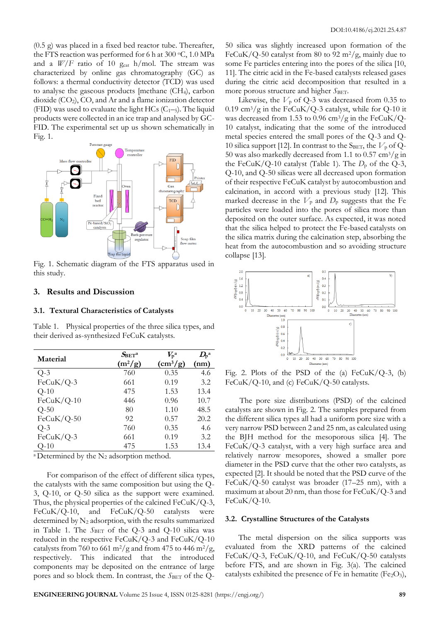(0.5 g) was placed in a fixed bed reactor tube. Thereafter, the FTS reaction was performed for 6 h at 300  $\mathrm{^{\circ}C}$ , 1.0 MPa and a  $W/F$  ratio of 10  $g_{cat}$  h/mol. The stream was characterized by online gas chromatography (GC) as follows: a thermal conductivity detector (TCD) was used to analyse the gaseous products [methane  $(CH<sub>4</sub>)$ , carbon dioxide (CO2), CO, and Ar and a flame ionization detector (FID) was used to evaluate the light HCs  $(C_{1-5})$ . The liquid products were collected in an ice trap and analysed by GC-FID. The experimental set up us shown schematically in Fig. 1.



Fig. 1. Schematic diagram of the FTS apparatus used in this study.

## **3. Results and Discussion**

#### **3.1. Textural Characteristics of Catalysts**

Table 1. Physical properties of the three silica types, and their derived as-synthesized FeCuK catalysts.

| Material     | $S_{\rm BET}$ a | $V_{\rm p}$ a | $D_{p}$ <sup>a</sup> |
|--------------|-----------------|---------------|----------------------|
|              | $(m^2/g)$       | $\rm(cm^3/g)$ | (nm)                 |
| $Q-3$        | 760             | 0.35          | 4.6                  |
| $FeCuK/Q-3$  | 661             | 0.19          | 3.2                  |
| $Q-10$       | 475             | 1.53          | 13.4                 |
| $FeCuK/Q-10$ | 446             | 0.96          | 10.7                 |
| $Q-50$       | 80              | 1.10          | 48.5                 |
| $FeCuK/Q-50$ | 92              | 0.57          | 20.2                 |
| $Q-3$        | 760             | 0.35          | 4.6                  |
| FeCuK/Q-3    | 661             | 0.19          | 3.2                  |
| O-10         | 475             | 1.53          | 13.4                 |

<sup>a</sup> Determined by the  $N_2$  adsorption method.

For comparison of the effect of different silica types, the catalysts with the same composition but using the Q-3, Q-10, or Q-50 silica as the support were examined. Thus, the physical properties of the calcined FeCuK/Q-3, FeCuK/Q-10, and FeCuK/Q-50 catalysts were determined by  $N_2$  adsorption, with the results summarized in Table 1. The *S*<sub>BET</sub> of the Q-3 and Q-10 silica was reduced in the respective FeCuK/Q-3 and FeCuK/Q-10 catalysts from 760 to 661 m<sup>2</sup>/g and from 475 to 446 m<sup>2</sup>/g, respectively. This indicated that the introduced components may be deposited on the entrance of large pores and so block them. In contrast, the *SBET* of the Q-

50 silica was slightly increased upon formation of the FeCuK/Q-50 catalyst from 80 to 92 m<sup>2</sup>/g, mainly due to some Fe particles entering into the pores of the silica [10, 11]. The citric acid in the Fe-based catalysts released gases during the citric acid decomposition that resulted in a more porous structure and higher *S*BET.

Likewise, the  $V_p$  of Q-3 was decreased from 0.35 to 0.19 cm<sup>3</sup>/g in the FeCuK/Q-3 catalyst, while for Q-10 it was decreased from 1.53 to 0.96  $\text{cm}^3/\text{g}$  in the FeCuK/Q-10 catalyst, indicating that the some of the introduced metal species entered the small pores of the Q-3 and Q-10 silica support [12]. In contrast to the S<sub>BET</sub>, the  $V_p$  of Q-50 was also markedly decreased from 1.1 to 0.57  $\text{cm}^3/\text{g}$  in the FeCuK/Q-10 catalyst (Table 1). The  $D_p$  of the Q-3, Q-10, and Q-50 silicas were all decreased upon formation of their respective FeCuK catalyst by autocombustion and calcination, in accord with a previous study [12]. This marked decrease in the  $V_p$  and  $D_p$  suggests that the Fe particles were loaded into the pores of silica more than deposited on the outer surface. As expected, it was noted that the silica helped to protect the Fe-based catalysts on the silica matrix during the calcination step, absorbing the heat from the autocombustion and so avoiding structure collapse [13].



Fig. 2. Plots of the PSD of the  $(a)$  FeCuK/Q-3,  $(b)$ FeCuK/Q-10, and (c) FeCuK/Q-50 catalysts.

 The pore size distributions (PSD) of the calcined catalysts are shown in Fig. 2. The samples prepared from the different silica types all had a uniform pore size with a very narrow PSD between 2 and 25 nm, as calculated using the BJH method for the mesoporous silica [4]. The FeCuK/Q-3 catalyst, with a very high surface area and relatively narrow mesopores, showed a smaller pore diameter in the PSD curve that the other two catalysts, as expected [2]. It should be noted that the PSD curve of the FeCuK/Q-50 catalyst was broader (17–25 nm), with a maximum at about 20 nm, than those for  $FeCuK/Q-3$  and FeCuK/Q-10.

#### **3.2. Crystalline Structures of the Catalysts**

The metal dispersion on the silica supports was evaluated from the XRD patterns of the calcined FeCuK/Q-3, FeCuK/Q-10, and FeCuK/Q-50 catalysts before FTS, and are shown in Fig. 3(a). The calcined catalysts exhibited the presence of Fe in hematite (Fe<sub>2</sub>O<sub>3</sub>),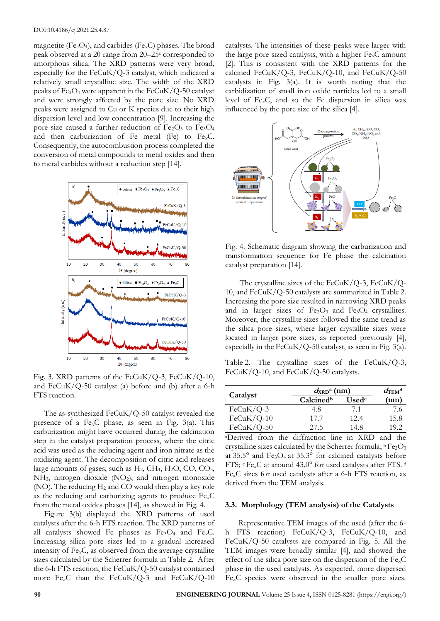magnetite (Fe<sub>3</sub>O<sub>4</sub>), and carbides (Fe<sub> $x$ </sub>C) phases. The broad peak observed at a 2θ range from 20–25o corresponded to amorphous silica. The XRD patterns were very broad, especially for the FeCuK/Q-3 catalyst, which indicated a relatively small crystalline size. The width of the XRD peaks of Fe<sub>3</sub>O<sub>4</sub> were apparent in the FeCuK/Q-50 catalyst and were strongly affected by the pore size. No XRD peaks were assigned to Cu or K species due to their high dispersion level and low concentration [9]. Increasing the pore size caused a further reduction of  $Fe<sub>2</sub>O<sub>3</sub>$  to  $Fe<sub>3</sub>O<sub>4</sub>$ and then carburization of Fe metal (Fe) to Fe*x*C. Consequently, the autocombustion process completed the conversion of metal compounds to metal oxides and then to metal carbides without a reduction step [14].



Fig. 3. XRD patterns of the FeCuK/Q-3, FeCuK/Q-10, and  $FeCuK/Q-50$  catalyst (a) before and (b) after a 6-h FTS reaction.

The as-synthesized  $FeCuK/Q-50$  catalyst revealed the presence of a Fe*x*C phase, as seen in Fig. 3(a). This carburization might have occurred during the calcination step in the catalyst preparation process, where the citric acid was used as the reducing agent and iron nitrate as the oxidizing agent. The decomposition of citric acid releases large amounts of gases, such as  $H_2$ , CH<sub>4</sub>, H<sub>2</sub>O, CO, CO<sub>2</sub>,  $NH<sub>3</sub>$ , nitrogen dioxide  $(NO<sub>2</sub>)$ , and nitrogen monoxide (NO). The reducing H<sup>2</sup> and CO would then play a key role as the reducing and carburizing agents to produce Fe*x*C from the metal oxides phases [14], as showed in Fig. 4.

Figure 3(b) displayed the XRD patterns of used catalysts after the 6-h FTS reaction. The XRD patterns of all catalysts showed Fe phases as Fe3O<sup>4</sup> and Fe*x*C. Increasing silica pore sizes led to a gradual increased intensity of Fe*x*C, as observed from the average crystallite sizes calculated by the Scherrer formula in Table 2. After the 6-h FTS reaction, the FeCuK/Q-50 catalyst contained more Fe*x*C than the FeCuK/Q-3 and FeCuK/Q-10

catalysts. The intensities of these peaks were larger with the large pore sized catalysts, with a higher Fe*x*C amount [2]. This is consistent with the XRD patterns for the calcined FeCuK/Q-3, FeCuK/Q-10, and FeCuK/Q-50 catalysts in Fig. 3(a). It is worth noting that the carbidization of small iron oxide particles led to a small level of Fe*x*C, and so the Fe dispersion in silica was influenced by the pore size of the silica [4].



Fig. 4. Schematic diagram showing the carburization and transformation sequence for Fe phase the calcination catalyst preparation [14].

 The crystalline sizes of the FeCuK/Q-3, FeCuK/Q-10, and FeCuK/Q-50 catalysts are summarized in Table 2. Increasing the pore size resulted in narrowing XRD peaks and in larger sizes of  $Fe<sub>2</sub>O<sub>3</sub>$  and  $Fe<sub>3</sub>O<sub>4</sub>$  crystallites. Moreover, the crystallite sizes followed the same trend as the silica pore sizes, where larger crystallite sizes were located in larger pore sizes, as reported previously [4], especially in the FeCuK/Q-50 catalyst, as seen in Fig.  $3(a)$ .

Table 2. The crystalline sizes of the FeCuK/Q-3, FeCuK/Q-10, and FeCuK/Q-50 catalysts.

| Catalyst     | $d_{\rm XRD}$ <sup>a</sup> (nm) |                   | $d_{\mathrm{TEM}}$ <sup>d</sup> |
|--------------|---------------------------------|-------------------|---------------------------------|
|              | Calcined <sup>b</sup>           | Used <sup>c</sup> | (nm)                            |
| $FeCuK/Q-3$  | 4.8                             | 7.1               | 7.6                             |
| $FeCuK/Q-10$ | 17.7                            | 12.4              | 15.8                            |
| $FeCuK/Q-50$ | 27.5                            | 14.8              | 19.2                            |

<sup>a</sup>Derived from the diffraction line in XRD and the crystalline sizes calculated by the Scherrer formula;  ${}^{\text{b}}\text{Fe}_2\text{O}_3$ at  $35.5^{\circ}$  and Fe<sub>3</sub>O<sub>4</sub> at  $35.3^{\circ}$  for calcined catalysts before FTS; <sup>c</sup> Fe<sub>x</sub>C at around 43.0° for used catalysts after FTS.<sup>d</sup> FexC sizes for used catalysts after a 6-h FTS reaction, as derived from the TEM analysis.

#### **3.3. Morphology (TEM analysis) of the Catalysts**

Representative TEM images of the used (after the 6 h FTS reaction) FeCuK/Q-3, FeCuK/Q-10, and FeCuK/Q-50 catalysts are compared in Fig. 5. All the TEM images were broadly similar [4], and showed the effect of the silica pore size on the dispersion of the Fe*x*C phase in the used catalysts. As expected, more dispersed Fe*x*C species were observed in the smaller pore sizes.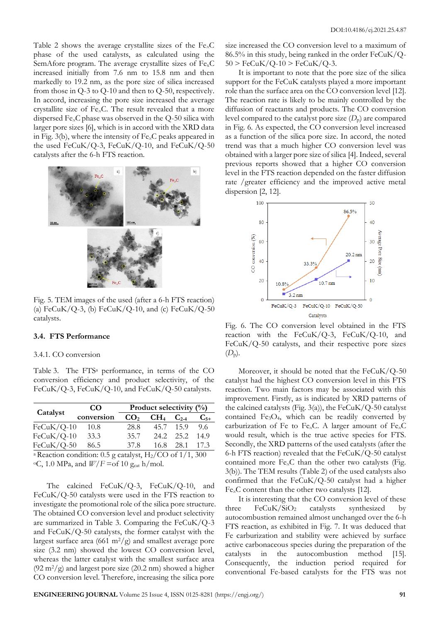Table 2 shows the average crystallite sizes of the Fe*x*C phase of the used catalysts, as calculated using the SemAfore program. The average crystallite sizes of  $Fe<sub>x</sub>C$ increased initially from 7.6 nm to 15.8 nm and then markedly to 19.2 nm, as the pore size of silica increased from those in Q-3 to Q-10 and then to Q-50, respectively. In accord, increasing the pore size increased the average crystallite size of Fe*x*C. The result revealed that a more dispersed Fe<sub>x</sub>C phase was observed in the Q-50 silica with larger pore sizes [6], which is in accord with the XRD data in Fig. 3(b), where the intensity of Fe*x*C peaks appeared in the used FeCuK/Q-3, FeCuK/Q-10, and FeCuK/Q-50 catalysts after the 6-h FTS reaction.



Fig. 5. TEM images of the used (after a 6-h FTS reaction) (a) FeCuK/Q-3, (b) FeCuK/Q-10, and (c) FeCuK/Q-50 catalysts.

# **3.4. FTS Performance**

#### 3.4.1. CO conversion

Table 3. The FTS<sup>a</sup> performance, in terms of the CO conversion efficiency and product selectivity, of the FeCuK/Q-3, FeCuK/Q-10, and FeCuK/Q-50 catalysts.

|              | <b>CO</b>                                                                                                                                         | Product selectivity $(\%)$ |                 |           |          |
|--------------|---------------------------------------------------------------------------------------------------------------------------------------------------|----------------------------|-----------------|-----------|----------|
| Catalyst     | conversion                                                                                                                                        | CO <sub>2</sub>            | CH <sub>4</sub> | $C_{2-4}$ | $C_{5+}$ |
| $FeCuK/Q-10$ | 10.8                                                                                                                                              | 28.8                       |                 | 45.7 15.9 | 9.6      |
| $FeCuK/Q-10$ | 33.3                                                                                                                                              | 35.7                       |                 | 24.2 25.2 | 14.9     |
| $FeCuK/Q-50$ | 86.5                                                                                                                                              | 37.8                       | 16.8            | 28.1      | 17.3     |
|              | $\alpha$ December 2 and $\alpha$ and $\alpha$ $\beta$ are $\alpha$ and $\alpha$ in $\alpha$ in $\alpha$ is $\alpha$ and $\alpha$ $\alpha$ $\beta$ |                            |                 |           |          |

<sup>a</sup> Reaction condition: 0.5 g catalyst,  $H_2/CO$  of 1/1, 300  $\rm ^{\circ}C$ , 1.0 MPa, and  $\rm \mathit{W}/\rm \mathit{F}$  =of 10 g<sub>cat</sub> h/mol.

The calcined FeCuK/Q-3, FeCuK/Q-10, and FeCuK/Q-50 catalysts were used in the FTS reaction to investigate the promotional role of the silica pore structure. The obtained CO conversion level and product selectivity are summarized in Table 3. Comparing the  $FeCuK/Q-3$ and FeCuK/Q-50 catalysts, the former catalyst with the largest surface area (661 m<sup>2</sup>/g) and smallest average pore size (3.2 nm) showed the lowest CO conversion level, whereas the latter catalyst with the smallest surface area  $(92 \text{ m}^2/\text{g})$  and largest pore size  $(20.2 \text{ nm})$  showed a higher CO conversion level. Therefore, increasing the silica pore

size increased the CO conversion level to a maximum of  $86.5\%$  in this study, being ranked in the order  $FeCuK/Q 50 > \text{FeCuK}/\text{Q-10} > \text{FeCuK}/\text{Q-3}.$ 

It is important to note that the pore size of the silica support for the FeCuK catalysts played a more important role than the surface area on the CO conversion level [12]. The reaction rate is likely to be mainly controlled by the diffusion of reactants and products. The CO conversion level compared to the catalyst pore size  $(D_p)$  are compared in Fig. 6. As expected, the CO conversion level increased as a function of the silica pore size. In accord, the noted trend was that a much higher CO conversion level was obtained with a larger pore size of silica [4]. Indeed, several previous reports showed that a higher CO conversion level in the FTS reaction depended on the faster diffusion rate /greater efficiency and the improved active metal dispersion [2, 12].



Fig. 6. The CO conversion level obtained in the FTS reaction with the FeCuK/Q-3, FeCuK/Q-10, and FeCuK/Q-50 catalysts, and their respective pore sizes  $(D_{p})$ .

Moreover, it should be noted that the FeCuK/Q-50 catalyst had the highest CO conversion level in this FTS reaction. Two main factors may be associated with this improvement. Firstly, as is indicated by XRD patterns of the calcined catalysts (Fig. 3(a)), the  $FeCuK/Q-50$  catalyst contained  $Fe<sub>3</sub>O<sub>4</sub>$ , which can be readily converted by carburization of Fe to Fe*x*C. A larger amount of Fe*x*C would result, which is the true active species for FTS. Secondly, the XRD patterns of the used catalysts (after the 6-h FTS reaction) revealed that the FeCuK/Q-50 catalyst contained more Fe*x*C than the other two catalysts (Fig. 3(b)). The TEM results (Table 2) of the used catalysts also confirmed that the FeCuK/Q-50 catalyst had a higher Fe*x*C content than the other two catalysts [12].

It is interesting that the CO conversion level of these three  $FeCuK/SiO<sub>2</sub>$  catalysts synthesized by autocombustion remained almost unchanged over the 6-h FTS reaction, as exhibited in Fig. 7. It was deduced that Fe carburization and stability were achieved by surface active carbonaceous species during the preparation of the catalysts in the autocombustion method [15]. Consequently, the induction period required for conventional Fe-based catalysts for the FTS was not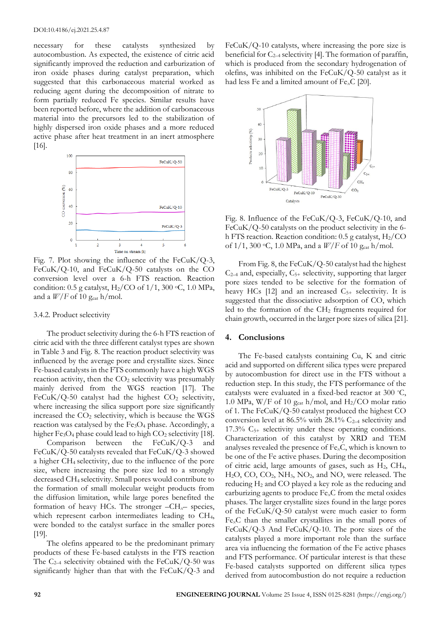necessary for these catalysts synthesized by autocombustion. As expected, the existence of citric acid significantly improved the reduction and carburization of iron oxide phases during catalyst preparation, which suggested that this carbonaceous material worked as reducing agent during the decomposition of nitrate to form partially reduced Fe species. Similar results have been reported before, where the addition of carbonaceous material into the precursors led to the stabilization of highly dispersed iron oxide phases and a more reduced active phase after heat treatment in an inert atmosphere [16].



Fig. 7. Plot showing the influence of the  $FeCuK/Q-3$ , FeCuK/Q-10, and FeCuK/Q-50 catalysts on the CO conversion level over a 6-h FTS reaction. Reaction condition: 0.5 g catalyst,  $H_2/CO$  of  $1/1$ , 300 °C, 1.0 MPa, and a  $W/F$  of 10 g<sub>cat</sub> h/mol.

## 3.4.2. Product selectivity

The product selectivity during the 6-h FTS reaction of citric acid with the three different catalyst types are shown in Table 3 and Fig. 8. The reaction product selectivity was influenced by the average pore and crystallite sizes. Since Fe-based catalysts in the FTS commonly have a high WGS reaction activity, then the CO<sub>2</sub> selectivity was presumably mainly derived from the WGS reaction [17]. The FeCuK/Q-50 catalyst had the highest  $CO<sub>2</sub>$  selectivity, where increasing the silica support pore size significantly increased the  $CO<sub>2</sub>$  selectivity, which is because the WGS reaction was catalysed by the Fe<sub>3</sub>O<sub>4</sub> phase. Accordingly, a higher  $Fe<sub>3</sub>O<sub>4</sub>$  phase could lead to high  $CO<sub>2</sub>$  selectivity [18].

Comparison between the FeCuK/Q-3 and FeCuK/Q-50 catalysts revealed that FeCuK/Q-3 showed a higher CH4 selectivity, due to the influence of the pore size, where increasing the pore size led to a strongly decreased CH4 selectivity. Small pores would contribute to the formation of small molecular weight products from the diffusion limitation, while large pores benefited the formation of heavy HCs. The stronger  $-CH<sub>x</sub>$ – species, which represent carbon intermediates leading to CH4, were bonded to the catalyst surface in the smaller pores [19].

The olefins appeared to be the predominant primary products of these Fe-based catalysts in the FTS reaction The  $C_{2-4}$  selectivity obtained with the FeCuK/Q-50 was significantly higher than that with the FeCuK/Q-3 and

FeCuK/Q-10 catalysts, where increasing the pore size is beneficial for  $C_{2-4}$  selectivity [4]. The formation of paraffin, which is produced from the secondary hydrogenation of olefins, was inhibited on the FeCuK/Q-50 catalyst as it had less Fe and a limited amount of Fe*x*C [20].



Fig. 8. Influence of the FeCuK/Q-3, FeCuK/Q-10, and FeCuK/Q-50 catalysts on the product selectivity in the 6 h FTS reaction. Reaction condition: 0.5 g catalyst, H<sub>2</sub>/CO of  $1/1$ , 300 °C, 1.0 MPa, and a  $W/F$  of 10 g<sub>cat</sub> h/mol.

From Fig. 8, the FeCuK/Q-50 catalyst had the highest  $C_{2-4}$  and, especially,  $C_{5+}$  selectivity, supporting that larger pore sizes tended to be selective for the formation of heavy HCs  $[12]$  and an increased  $C_{5+}$  selectivity. It is suggested that the dissociative adsorption of CO, which led to the formation of the CH<sup>2</sup> fragments required for chain growth, occurred in the larger pore sizes of silica [21].

## **4. Conclusions**

The Fe-based catalysts containing Cu, K and citric acid and supported on different silica types were prepared by autocombustion for direct use in the FTS without a reduction step. In this study, the FTS performance of the catalysts were evaluated in a fixed-bed reactor at 300 ◦C, 1.0 MPa, W/F of 10  $g_{cat}$  h/mol, and H<sub>2</sub>/CO molar ratio of 1. The FeCuK/Q-50 catalyst produced the highest CO conversion level at  $86.5\%$  with  $28.1\%$  C<sub>2-4</sub> selectivity and 17.3% C5+ selectivity under these operating conditions. Characterization of this catalyst by XRD and TEM analyses revealed the presence of Fe*x*C, which is known to be one of the Fe active phases. During the decomposition of citric acid, large amounts of gases, such as  $H_2$ , CH<sub>4</sub>, H<sub>2</sub>O, CO, CO<sub>2</sub>, NH<sub>3</sub>, NO<sub>2</sub>, and NO, were released. The reducing H<sup>2</sup> and CO played a key role as the reducing and carburizing agents to produce Fe*x*C from the metal oxides phases. The larger crystallite sizes found in the large pores of the FeCuK/Q-50 catalyst were much easier to form Fe*x*C than the smaller crystallites in the small pores of  $FeCuK/Q-3$  And  $FeCuK/Q-10$ . The pore sizes of the catalysts played a more important role than the surface area via influencing the formation of the Fe active phases and FTS performance. Of particular interest is that these Fe-based catalysts supported on different silica types derived from autocombustion do not require a reduction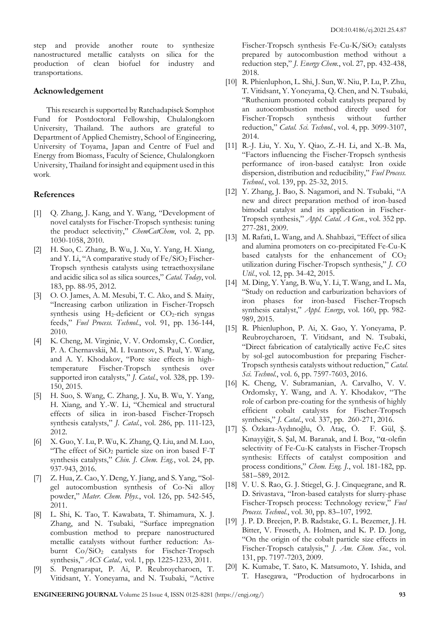step and provide another route to synthesize nanostructured metallic catalysts on silica for the production of clean biofuel for industry and transportations.

## **Acknowledgement**

This research is supported by Ratchadapisek Somphot Fund for Postdoctoral Fellowship, Chulalongkorn University, Thailand. The authors are grateful to Department of Applied Chemistry, School of Engineering, University of Toyama, Japan and Centre of Fuel and Energy from Biomass, Faculty of Science, Chulalongkorn University, Thailand forinsight and equipment used in this work.

# **References**

- [1] Q. Zhang, J. Kang, and Y. Wang, "Development of novel catalysts for Fischer-Tropsch synthesis: tuning the product selectivity," *ChemCatChem*, vol. 2, pp. 1030-1058, 2010.
- [2] H. Suo, C. Zhang, B. Wu, J. Xu, Y. Yang, H. Xiang, and Y. Li, "A comparative study of  $Fe/SiO<sub>2</sub> Fischer-$ Tropsch synthesis catalysts using tetraethoxysilane and acidic silica sol as silica sources," *Catal. Today*, vol. 183, pp. 88-95, 2012.
- [3] O. O. James, A. M. Mesubi, T. C. Ako, and S. Maity, "Increasing carbon utilization in Fischer-Tropsch synthesis using  $H_2$ -deficient or  $CO_2$ -rich syngas feeds," *Fuel Process. Technol.*, vol. 91, pp. 136-144, 2010.
- [4] K. Cheng, M. Virginie, V. V. Ordomsky, C. Cordier, P. A. Chernavskii, M. I. Ivantsov, S. Paul, Y. Wang, and A. Y. Khodakov, "Pore size effects in hightemperature Fischer-Tropsch synthesis over supported iron catalysts," *J. Catal.*, vol. 328, pp. 139- 150, 2015.
- [5] H. Suo, S. Wang, C. Zhang, J. Xu, B. Wu, Y. Yang, H. Xiang, and Y.-W. Li, "Chemical and structural effects of silica in iron-based Fischer-Tropsch synthesis catalysts," *J. Catal.*, vol. 286, pp. 111-123, 2012.
- [6] X. Guo, Y. Lu, P. Wu, K. Zhang, Q. Liu, and M. Luo, "The effect of SiO<sup>2</sup> particle size on iron based F-T synthesis catalysts," *Chin. J. Chem. Eng.*, vol. 24, pp. 937-943, 2016.
- [7] Z. Hua, Z. Cao, Y. Deng, Y. Jiang, and S. Yang, "Solgel autocombustion synthesis of Co-Ni alloy powder," *Mater. Chem. Phys.*, vol. 126, pp. 542-545, 2011.
- [8] L. Shi, K. Tao, T. Kawabata, T. Shimamura, X. J. Zhang, and N. Tsubaki, "Surface impregnation combustion method to prepare nanostructured metallic catalysts without further reduction: Asburnt Co/SiO<sub>2</sub> catalysts for Fischer-Tropsch synthesis," *ACS Catal.,* vol. 1, pp. 1225-1233, 2011.
- [9] S. Pengnarapat, P. Ai, P. Reubroycharoen, T. Vitidsant, Y. Yoneyama, and N. Tsubaki, "Active

Fischer-Tropsch synthesis Fe-Cu-K/SiO<sub>2</sub> catalysts prepared by autocombustion method without a reduction step," *J. Energy Chem.*, vol. 27, pp. 432-438, 2018.

- [10] R. Phienluphon, L. Shi, J. Sun, W. Niu, P. Lu, P. Zhu, T. Vitidsant, Y. Yoneyama, Q. Chen, and N. Tsubaki, "Ruthenium promoted cobalt catalysts prepared by an autocombustion method directly used for Fischer-Tropsch synthesis without further reduction," *Catal. Sci. Technol.*, vol. 4, pp. 3099-3107, 2014.
- [11] R.-J. Liu, Y. Xu, Y. Qiao, Z.-H. Li, and X.-B. Ma, "Factors influencing the Fischer-Tropsch synthesis performance of iron-based catalyst: Iron oxide dispersion, distribution and reducibility," *Fuel Process. Technol.*, vol. 139, pp. 25-32, 2015.
- [12] Y. Zhang, J. Bao, S. Nagamori, and N. Tsubaki, "A new and direct preparation method of iron-based bimodal catalyst and its application in Fischer-Tropsch synthesis," *Appl. Catal. A Gen.*, vol. 352 pp. 277-281, 2009.
- [13] M. Rafati, L. Wang, and A. Shahbazi, "Effect of silica and alumina promoters on co-precipitated Fe-Cu-K based catalysts for the enhancement of  $CO<sub>2</sub>$ utilization during Fischer-Tropsch synthesis," *J. CO Util.*, vol. 12, pp. 34-42, 2015.
- [14] M. Ding, Y. Yang, B. Wu, Y. Li, T. Wang, and L. Ma, "Study on reduction and carburization behaviors of iron phases for iron-based Fischer-Tropsch synthesis catalyst," *Appl. Energy*, vol. 160, pp. 982- 989, 2015.
- [15] R. Phienluphon, P. Ai, X. Gao, Y. Yoneyama, P. Reubroycharoen, T. Vitidsant, and N. Tsubaki, "Direct fabrication of catalytically active  $Fe<sub>x</sub>C$  sites by sol-gel autocombustion for preparing Fischer-Tropsch synthesis catalysts without reduction," *Catal. Sci. Technol.*, vol. 6, pp. 7597-7603, 2016.
- [16] K. Cheng, V. Subramanian, A. Carvalho, V. V. Ordomsky, Y. Wang, and A. Y. Khodakov, "The role of carbon pre-coating for the synthesis of highly efficient cobalt catalysts for Fischer-Tropsch synthesis," *J. Catal.*, vol. 337, pp. 260-271, 2016.
- [17] Ş. Özkara-Aydınoğlu, Ö. Ataç, Ö. F. Gül, Ş. Kınayyiğit, S. Şal, M. Baranak, and İ. Boz, "a-olefin selectivity of Fe-Cu-K catalysts in Fischer-Tropsch synthesis: Effects of catalyst composition and process conditions," *Chem. Eng. J.*, vol. 181-182, pp. 581–589, 2012.
- [18] V. U. S. Rao, G. J. Stiegel, G. J. Cinquegrane, and R. D. Srivastava, "Iron-based catalysts for slurry-phase Fischer-Tropsch process: Technology review," *Fuel Process. Technol.*, vol. 30, pp. 83–107, 1992.
- [19] J. P. D. Breejen, P. B. Radstake, G. L. Bezemer, J. H. Bitter, V. Frøseth, A. Holmen, and K. P. D. Jong, "On the origin of the cobalt particle size effects in Fischer-Tropsch catalysis," *J. Am. Chem. Soc.*, vol. 131, pp. 7197-7203, 2009.
- [20] K. Kumabe, T. Sato, K. Matsumoto, Y. Ishida, and T. Hasegawa, "Production of hydrocarbons in